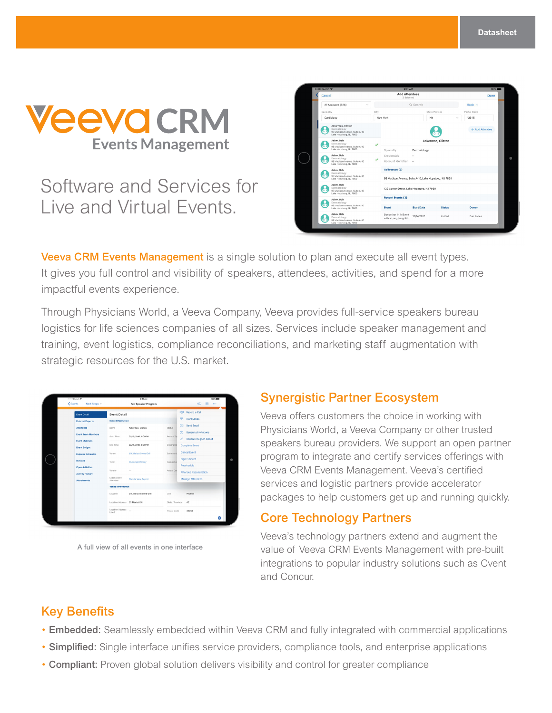

# Software and Services for Live and Virtual Events.

| Cancel                                                                                                        |                                                     | <b>Add Attendees</b><br>2 Selected                                                                 |               | Done            |  |  |
|---------------------------------------------------------------------------------------------------------------|-----------------------------------------------------|----------------------------------------------------------------------------------------------------|---------------|-----------------|--|--|
| All Accounts (824)<br>$\checkmark$                                                                            |                                                     | Q Search                                                                                           |               | Basic $\wedge$  |  |  |
| Specialty                                                                                                     | City                                                |                                                                                                    | State/Provice | Postal Code     |  |  |
| Cardiology                                                                                                    | New York                                            | NY                                                                                                 |               | 12345<br>$\sim$ |  |  |
| Ackerman, Clinton<br>Dermatology<br>67<br>95 Madison Avenue, Suite A-10<br>Lake Hopatcog, NJ 7860             |                                                     |                                                                                                    |               | + Add Attendee  |  |  |
| Adam, Bob<br>Dermatology<br>95 Madison Avenue, Suite A-10                                                     | $\checkmark$                                        | Ackerman, Clinton                                                                                  |               |                 |  |  |
| Lake Hopatcog, NJ 7860<br>Adam, Bob<br>Dermatology<br>95 Madison Avenue, Suite A-10<br>Lake Hopatcog, NJ 7860 | Specialty<br>Credentials<br>✓<br>Account Identifier | Dermatology<br>٠                                                                                   |               |                 |  |  |
| Adam, Bob<br>Dermatology<br>œ<br>95 Madison Avenue, Suite A-10<br>Lake Hopatcog, NJ 7860                      | <b>Addresses (2)</b>                                | 95 Madison Avenue, Suite A-10, Lake Hopatcog, NJ 7860<br>122 Center Street, Lake Hopatcog, NJ 7860 |               |                 |  |  |
| Adam, Bob<br>Dermatology<br>œ<br>95 Madison Avenue, Suite A-10<br>Lake Hopatcog, NJ 7860                      |                                                     |                                                                                                    |               |                 |  |  |
| Adam, Bob<br>Dermatology                                                                                      | <b>Recent Events (3)</b>                            |                                                                                                    |               |                 |  |  |
| 95 Madison Avenue, Suite A-10<br>Lake Hopatcog, NJ 7860                                                       | Event                                               | <b>Start Date</b>                                                                                  | <b>Status</b> | Owner           |  |  |
| Adam, Bob<br>Dermatology<br>95 Madison Avenue, Suite A-10<br>Lake Hopatcog, NJ 7860                           | December 14th Event<br>with a Long Long titl        | 12/14/2017                                                                                         | Invited       | Dan Jones       |  |  |

**Veeva CRM Events Management** is a single solution to plan and execute all event types. It gives you full control and visibility of speakers, attendees, activities, and spend for a more impactful events experience.

Through Physicians World, a Veeva Company, Veeva provides full-service speakers bureau logistics for life sciences companies of all sizes. Services include speaker management and training, event logistics, compliance reconciliations, and marketing staff augmentation with strategic resources for the U.S. market.

| sesse Sketch P                      |                                  | 9:41 AM                        |                  | $100\%$                     |
|-------------------------------------|----------------------------------|--------------------------------|------------------|-----------------------------|
| <events<br>Next Steps ~</events<br> |                                  | Feb Speaker Program            |                  | m<br>453<br>$\cdots$        |
| <b>Event Detail</b>                 | <b>Event Detail</b>              |                                |                  | <b>450 Record a Call</b>    |
| <b>External Experts</b>             | <b>Event Information</b>         |                                |                  | 膺<br><b>Start Media</b>     |
| <b>Attendees</b>                    | Name                             | Ackerman, Clinton              | <b>Status</b>    | DEC Send Email              |
| <b>Event Team Members</b>           | Start Time                       | 02/15/2018, 4:00PM             | Record Tyl       | Generate Invitations<br>肉   |
| <b>Event Materials</b>              |                                  |                                |                  | Generate Sign In Sheet<br>í |
| <b>Event Budget</b>                 | <b>End Time</b>                  | 02/15/2018, 6:00PM             | Descriptio       | Complete Event              |
| <b>Expense Estimates</b>            | Venue                            | <b>J.W.Mariott Stone Grill</b> | Estimated        | Cancel Event                |
| Invoices                            | Topic                            | <b>Cholecap Efficacy</b>       | Committee        | Sign In Sheet               |
| <b>Open Activities</b>              | Vendor                           | $\overline{\phantom{a}}$       | Actual Cos       | Reschedule                  |
| <b>Activity History</b>             |                                  |                                |                  | Attendee Reconcilation      |
| <b>Attachments</b>                  | Expenses by<br>Attendee          | Click to View Report           |                  | Manage Attendees            |
|                                     | <b>Venue Information</b>         |                                |                  |                             |
|                                     | Location                         | J.W.Mariotte Stone Grill       | City             | Phoenix                     |
|                                     | Location Address 53 Marriott Dr. |                                | State / Province | AZ.                         |
|                                     | Location Address<br>Line 2       |                                | Postal Code      | 85054                       |
|                                     |                                  |                                |                  | $\bullet$                   |

A full view of all events in one interface

### Synergistic Partner Ecosystem

Veeva offers customers the choice in working with Physicians World, a Veeva Company or other trusted speakers bureau providers. We support an open partner program to integrate and certify services offerings with Veeva CRM Events Management. Veeva's certified services and logistic partners provide accelerator packages to help customers get up and running quickly.

### Core Technology Partners

Veeva's technology partners extend and augment the value of Veeva CRM Events Management with pre-built integrations to popular industry solutions such as Cvent and Concur.

### Key Benefits

- Embedded: Seamlessly embedded within Veeva CRM and fully integrated with commercial applications
- Simplified: Single interface unifies service providers, compliance tools, and enterprise applications
- Compliant: Proven global solution delivers visibility and control for greater compliance